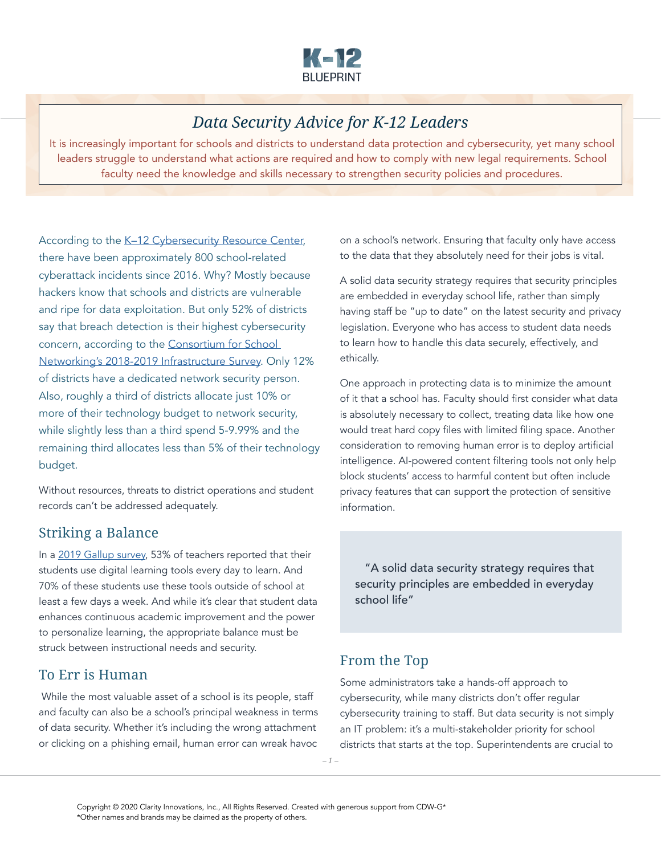

# *Data Security Advice for K-12 Leaders*

It is increasingly important for schools and districts to understand data protection and cybersecurity, yet many school leaders struggle to understand what actions are required and how to comply with new legal requirements. School faculty need the knowledge and skills necessary to strengthen security policies and procedures.

According to the K-12 Cybersecurity Resource Center, there have been approximately 800 school-related cyberattack incidents since 2016. Why? Mostly because hackers know that schools and districts are vulnerable and ripe for data exploitation. But only 52% of districts say that breach detection is their highest cybersecurity concern, according to the [Consortium for School](https://www.cosn.org/Infrastructure)  [Networking's 2018-2019 Infrastructure Survey](https://www.cosn.org/Infrastructure). Only 12% of districts have a dedicated network security person. Also, roughly a third of districts allocate just 10% or more of their technology budget to network security, while slightly less than a third spend 5-9.99% and the remaining third allocates less than 5% of their technology budget.

Without resources, threats to district operations and student records can't be addressed adequately.

# Striking a Balance

In a [2019 Gallup survey](http://www.newschools.org/wp-content/uploads/2019/09/Gallup-Ed-Tech-Use-in-Schools-2.pdf), 53% of teachers reported that their students use digital learning tools every day to learn. And 70% of these students use these tools outside of school at least a few days a week. And while it's clear that student data enhances continuous academic improvement and the power to personalize learning, the appropriate balance must be struck between instructional needs and security.

# To Err is Human

While the most valuable asset of a school is its people, staff and faculty can also be a school's principal weakness in terms of data security. Whether it's including the wrong attachment or clicking on a phishing email, human error can wreak havoc

on a school's network. Ensuring that faculty only have access to the data that they absolutely need for their jobs is vital.

A solid data security strategy requires that security principles are embedded in everyday school life, rather than simply having staff be "up to date" on the latest security and privacy legislation. Everyone who has access to student data needs to learn how to handle this data securely, effectively, and ethically.

One approach in protecting data is to minimize the amount of it that a school has. Faculty should first consider what data is absolutely necessary to collect, treating data like how one would treat hard copy files with limited filing space. Another consideration to removing human error is to deploy artificial intelligence. AI-powered content filtering tools not only help block students' access to harmful content but often include privacy features that can support the protection of sensitive information.

 "A solid data security strategy requires that security principles are embedded in everyday school life"

# From the Top

Some administrators take a hands-off approach to cybersecurity, while many districts don't offer regular cybersecurity training to staff. But data security is not simply an IT problem: it's a multi-stakeholder priority for school districts that starts at the top. Superintendents are crucial to